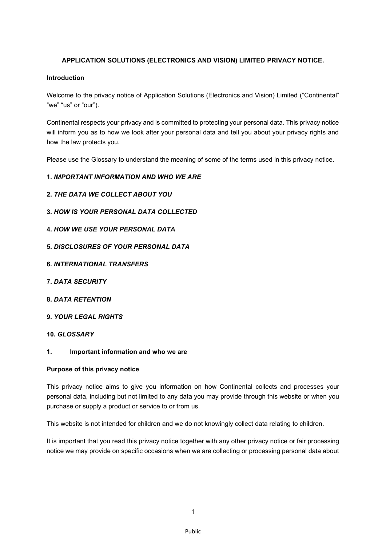# **APPLICATION SOLUTIONS (ELECTRONICS AND VISION) LIMITED PRIVACY NOTICE.**

### **Introduction**

Welcome to the privacy notice of Application Solutions (Electronics and Vision) Limited ("Continental" "we" "us" or "our").

Continental respects your privacy and is committed to protecting your personal data. This privacy notice will inform you as to how we look after your personal data and tell you about your privacy rights and how the law protects you.

Please use the Glossary to understand the meaning of some of the terms used in this privacy notice.

### **1.** *IMPORTANT INFORMATION AND WHO WE ARE*

- **2.** *THE DATA WE COLLECT ABOUT YOU*
- **3.** *HOW IS YOUR PERSONAL DATA COLLECTED*
- **4.** *HOW WE USE YOUR PERSONAL DATA*
- **5.** *DISCLOSURES OF YOUR PERSONAL DATA*
- **6.** *INTERNATIONAL TRANSFERS*
- **7.** *DATA SECURITY*
- **8.** *DATA RETENTION*
- **9.** *YOUR LEGAL RIGHTS*
- **10.** *GLOSSARY*
- **1. Important information and who we are**

## **Purpose of this privacy notice**

This privacy notice aims to give you information on how Continental collects and processes your personal data, including but not limited to any data you may provide through this website or when you purchase or supply a product or service to or from us.

This website is not intended for children and we do not knowingly collect data relating to children.

It is important that you read this privacy notice together with any other privacy notice or fair processing notice we may provide on specific occasions when we are collecting or processing personal data about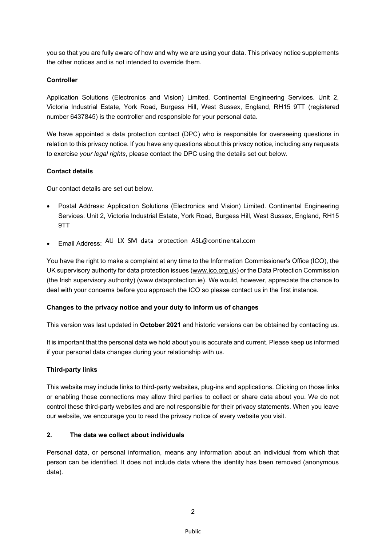you so that you are fully aware of how and why we are using your data. This privacy notice supplements the other notices and is not intended to override them.

## **Controller**

Application Solutions (Electronics and Vision) Limited. Continental Engineering Services. Unit 2, Victoria Industrial Estate, York Road, Burgess Hill, West Sussex, England, RH15 9TT (registered number 6437845) is the controller and responsible for your personal data.

We have appointed a data protection contact (DPC) who is responsible for overseeing questions in relation to this privacy notice. If you have any questions about this privacy notice, including any requests to exercise *your legal rights*, please contact the DPC using the details set out below.

## <span id="page-1-0"></span>**Contact details**

Our contact details are set out below.

- Postal Address: Application Solutions (Electronics and Vision) Limited. Continental Engineering Services. Unit 2, Victoria Industrial Estate, York Road, Burgess Hill, West Sussex, England, RH15 9TT
- Email Address: AU\_LX\_SM\_data\_protection\_ASL@continental.com

You have the right to make a complaint at any time to the Information Commissioner's Office (ICO), the UK supervisory authority for data protection issues [\(www.ico.org.uk\)](http://www.ico.org.uk/) or the Data Protection Commission (the Irish supervisory authority) (www.dataprotection.ie). We would, however, appreciate the chance to deal with your concerns before you approach the ICO so please contact us in the first instance.

## **Changes to the privacy notice and your duty to inform us of changes**

This version was last updated in **October 2021** and historic versions can be obtained by contacting us.

It is important that the personal data we hold about you is accurate and current. Please keep us informed if your personal data changes during your relationship with us.

## **Third-party links**

This website may include links to third-party websites, plug-ins and applications. Clicking on those links or enabling those connections may allow third parties to collect or share data about you. We do not control these third-party websites and are not responsible for their privacy statements. When you leave our website, we encourage you to read the privacy notice of every website you visit.

## **2. The data we collect about individuals**

Personal data, or personal information, means any information about an individual from which that person can be identified. It does not include data where the identity has been removed (anonymous data).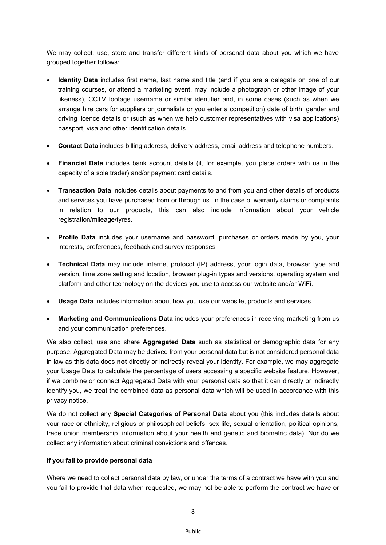We may collect, use, store and transfer different kinds of personal data about you which we have grouped together follows:

- **Identity Data** includes first name, last name and title (and if you are a delegate on one of our training courses, or attend a marketing event, may include a photograph or other image of your likeness), CCTV footage username or similar identifier and, in some cases (such as when we arrange hire cars for suppliers or journalists or you enter a competition) date of birth, gender and driving licence details or (such as when we help customer representatives with visa applications) passport, visa and other identification details.
- **Contact Data** includes billing address, delivery address, email address and telephone numbers.
- **Financial Data** includes bank account details (if, for example, you place orders with us in the capacity of a sole trader) and/or payment card details.
- **Transaction Data** includes details about payments to and from you and other details of products and services you have purchased from or through us. In the case of warranty claims or complaints in relation to our products, this can also include information about your vehicle registration/mileage/tyres.
- **Profile Data** includes your username and password, purchases or orders made by you, your interests, preferences, feedback and survey responses
- **Technical Data** may include internet protocol (IP) address, your login data, browser type and version, time zone setting and location, browser plug-in types and versions, operating system and platform and other technology on the devices you use to access our website and/or WiFi.
- **Usage Data** includes information about how you use our website, products and services.
- **Marketing and Communications Data** includes your preferences in receiving marketing from us and your communication preferences.

We also collect, use and share **Aggregated Data** such as statistical or demographic data for any purpose. Aggregated Data may be derived from your personal data but is not considered personal data in law as this data does **not** directly or indirectly reveal your identity. For example, we may aggregate your Usage Data to calculate the percentage of users accessing a specific website feature. However, if we combine or connect Aggregated Data with your personal data so that it can directly or indirectly identify you, we treat the combined data as personal data which will be used in accordance with this privacy notice.

We do not collect any **Special Categories of Personal Data** about you (this includes details about your race or ethnicity, religious or philosophical beliefs, sex life, sexual orientation, political opinions, trade union membership, information about your health and genetic and biometric data). Nor do we collect any information about criminal convictions and offences.

## **If you fail to provide personal data**

Where we need to collect personal data by law, or under the terms of a contract we have with you and you fail to provide that data when requested, we may not be able to perform the contract we have or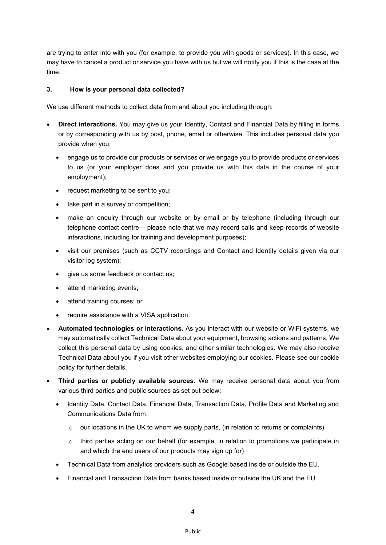are trying to enter into with you (for example, to provide you with goods or services). In this case, we may have to cancel a product or service you have with us but we will notify you if this is the case at the time.

# **3. How is your personal data collected?**

We use different methods to collect data from and about you including through:

- **Direct interactions.** You may give us your Identity, Contact and Financial Data by filling in forms or by corresponding with us by post, phone, email or otherwise. This includes personal data you provide when you:
	- engage us to provide our products or services or we engage you to provide products or services to us (or your employer does and you provide us with this data in the course of your employment);
	- request marketing to be sent to you;
	- take part in a survey or competition;
	- make an enquiry through our website or by email or by telephone (including through our telephone contact centre – please note that we may record calls and keep records of website interactions, including for training and development purposes);
	- visit our premises (such as CCTV recordings and Contact and Identity details given via our visitor log system);
	- give us some feedback or contact us;
	- attend marketing events;
	- attend training courses; or
	- require assistance with a VISA application.
- **Automated technologies or interactions.** As you interact with our website or WiFi systems, we may automatically collect Technical Data about your equipment, browsing actions and patterns. We collect this personal data by using cookies, and other similar technologies. We may also receive Technical Data about you if you visit other websites employing our cookies. Please see our cookie policy for further details.
- **Third parties or publicly available sources.** We may receive personal data about you from various third parties and public sources as set out below:
	- Identity Data, Contact Data, Financial Data, Transaction Data, Profile Data and Marketing and Communications Data from:
		- $\circ$  our locations in the UK to whom we supply parts, (in relation to returns or complaints)
		- $\circ$  third parties acting on our behalf (for example, in relation to promotions we participate in and which the end users of our products may sign up for)
	- Technical Data from analytics providers such as Google based inside or outside the EU.
	- Financial and Transaction Data from banks based inside or outside the UK and the EU.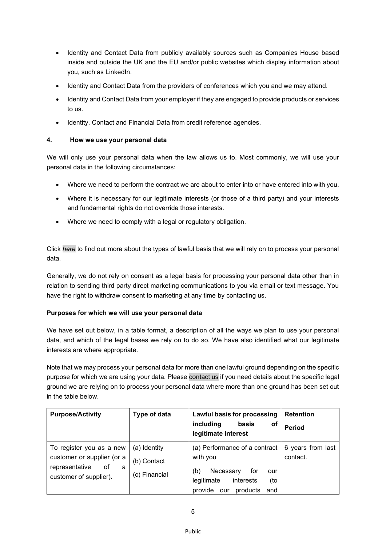- Identity and Contact Data from publicly availably sources such as Companies House based inside and outside the UK and the EU and/or public websites which display information about you, such as LinkedIn.
- Identity and Contact Data from the providers of conferences which you and we may attend.
- Identity and Contact Data from your employer if they are engaged to provide products or services to us.
- Identity, Contact and Financial Data from credit reference agencies.

# **4. How we use your personal data**

We will only use your personal data when the law allows us to. Most commonly, we will use your personal data in the following circumstances:

- Where we need to perform the contract we are about to enter into or have entered into with you.
- Where it is necessary for our legitimate interests (or those of a third party) and your interests and fundamental rights do not override those interests.
- Where we need to comply with a legal or regulatory obligation.

Click *[here](#page-11-0)* to find out more about the types of lawful basis that we will rely on to process your personal data.

Generally, we do not rely on consent as a legal basis for processing your personal data other than in relation to sending third party direct marketing communications to you via email or text message. You have the right to withdraw consent to marketing at any time by [contacting us.](#page-1-0)

## **Purposes for which we will use your personal data**

We have set out below, in a table format, a description of all the ways we plan to use your personal data, and which of the legal bases we rely on to do so. We have also identified what our legitimate interests are where appropriate.

Note that we may process your personal data for more than one lawful ground depending on the specific purpose for which we are using your data. Please [contact us](#page-1-0) if you need details about the specific legal ground we are relying on to process your personal data where more than one ground has been set out in the table below.

| <b>Purpose/Activity</b>                                                                                       | Type of data                                 | Lawful basis for processing<br>including<br>basis<br>οf<br>legitimate interest                                                                     | <b>Retention</b><br><b>Period</b> |
|---------------------------------------------------------------------------------------------------------------|----------------------------------------------|----------------------------------------------------------------------------------------------------------------------------------------------------|-----------------------------------|
| To register you as a new<br>customer or supplier (or a<br>representative<br>οf<br>a<br>customer of supplier). | (a) Identity<br>(b) Contact<br>(c) Financial | (a) Performance of a contract<br>with you<br>(b)<br>Necessary<br>for<br>our<br>interests<br>legitimate<br>(to<br>products<br>and<br>provide<br>our | 6 years from last<br>contact.     |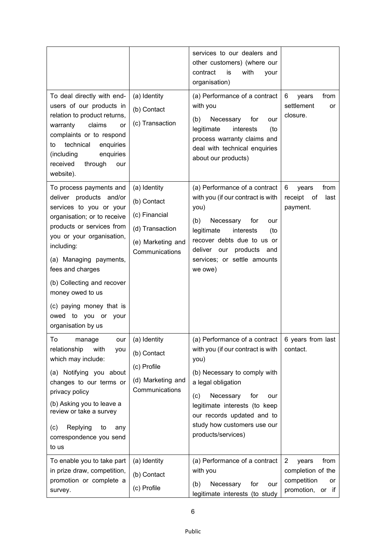|                                                                                                                                                                                                                                                                                                                                                               |                                                                                                        | services to our dealers and<br>other customers) (where our<br>contract<br>is<br>with<br>your<br>organisation)                                                                                                                                                                          |                                                                                  |
|---------------------------------------------------------------------------------------------------------------------------------------------------------------------------------------------------------------------------------------------------------------------------------------------------------------------------------------------------------------|--------------------------------------------------------------------------------------------------------|----------------------------------------------------------------------------------------------------------------------------------------------------------------------------------------------------------------------------------------------------------------------------------------|----------------------------------------------------------------------------------|
| To deal directly with end-<br>users of our products in<br>relation to product returns,<br>claims<br>warranty<br>or<br>complaints or to respond<br>technical<br>enquiries<br>to<br>enquiries<br>(including<br>received<br>through<br>our<br>website).                                                                                                          | (a) Identity<br>(b) Contact<br>(c) Transaction                                                         | (a) Performance of a contract<br>with you<br>(b)<br>Necessary<br>for<br>our<br>legitimate<br>interests<br>(to<br>process warranty claims and<br>deal with technical enquiries<br>about our products)                                                                                   | 6<br>from<br>years<br>settlement<br>or<br>closure.                               |
| To process payments and<br>deliver products and/or<br>services to you or your<br>organisation; or to receive<br>products or services from<br>you or your organisation,<br>including:<br>(a) Managing payments,<br>fees and charges<br>(b) Collecting and recover<br>money owed to us<br>(c) paying money that is<br>owed to you or your<br>organisation by us | (a) Identity<br>(b) Contact<br>(c) Financial<br>(d) Transaction<br>(e) Marketing and<br>Communications | (a) Performance of a contract<br>with you (if our contract is with<br>you)<br>(b)<br>Necessary<br>for<br>our<br>legitimate<br>interests<br>(to<br>recover debts due to us or<br>deliver our products and<br>services; or settle amounts<br>we owe)                                     | 6<br>from<br>years<br>receipt<br>of<br>last<br>payment.                          |
| То<br>manage<br>our<br>relationship<br>with<br>you<br>which may include:<br>(a) Notifying you about<br>changes to our terms or<br>privacy policy<br>(b) Asking you to leave a<br>review or take a survey<br>Replying<br>(c)<br>to<br>any<br>correspondence you send<br>to us                                                                                  | (a) Identity<br>(b) Contact<br>(c) Profile<br>(d) Marketing and<br>Communications                      | (a) Performance of a contract<br>with you (if our contract is with<br>you)<br>(b) Necessary to comply with<br>a legal obligation<br>Necessary<br>(c)<br>for<br>our<br>legitimate interests (to keep<br>our records updated and to<br>study how customers use our<br>products/services) | 6 years from last<br>contact.                                                    |
| To enable you to take part<br>in prize draw, competition,<br>promotion or complete a<br>survey.                                                                                                                                                                                                                                                               | (a) Identity<br>(b) Contact<br>(c) Profile                                                             | (a) Performance of a contract<br>with you<br>Necessary<br>(b)<br>for<br>our<br>legitimate interests (to study                                                                                                                                                                          | from<br>2<br>years<br>completion of the<br>competition<br>or<br>promotion, or if |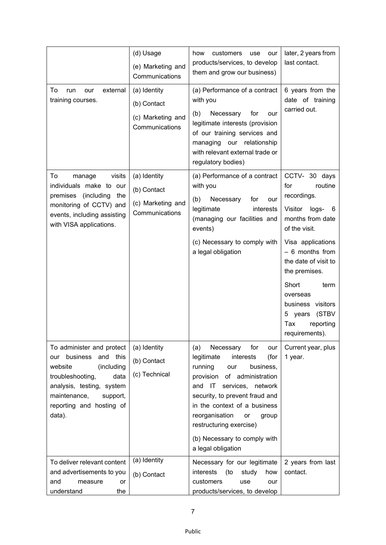|                                                                                                                                                                                                              | (d) Usage                                                          | customers<br>how<br>use<br>our                                                                                                                                                                                                                                                                                                                        | later, 2 years from                                                                                                                                                                                                                                                                                     |
|--------------------------------------------------------------------------------------------------------------------------------------------------------------------------------------------------------------|--------------------------------------------------------------------|-------------------------------------------------------------------------------------------------------------------------------------------------------------------------------------------------------------------------------------------------------------------------------------------------------------------------------------------------------|---------------------------------------------------------------------------------------------------------------------------------------------------------------------------------------------------------------------------------------------------------------------------------------------------------|
|                                                                                                                                                                                                              | (e) Marketing and<br>Communications                                | products/services, to develop<br>them and grow our business)                                                                                                                                                                                                                                                                                          | last contact.                                                                                                                                                                                                                                                                                           |
| To<br>external<br>run<br>our<br>training courses.                                                                                                                                                            | (a) Identity<br>(b) Contact<br>(c) Marketing and<br>Communications | (a) Performance of a contract<br>with you<br>Necessary<br>(b)<br>for<br>our<br>legitimate interests (provision<br>of our training services and<br>managing our relationship<br>with relevant external trade or<br>regulatory bodies)                                                                                                                  | 6 years from the<br>date of training<br>carried out.                                                                                                                                                                                                                                                    |
| To<br>visits<br>manage<br>individuals make to our<br>(including<br>premises<br>the<br>monitoring of CCTV) and<br>events, including assisting<br>with VISA applications.                                      | (a) Identity<br>(b) Contact<br>(c) Marketing and<br>Communications | (a) Performance of a contract<br>with you<br>Necessary<br>(b)<br>for<br>our<br>legitimate<br>interests<br>(managing our facilities and<br>events)<br>(c) Necessary to comply with<br>a legal obligation                                                                                                                                               | CCTV- 30 days<br>for<br>routine<br>recordings.<br>Visitor logs-<br>6<br>months from date<br>of the visit.<br>Visa applications<br>$-6$ months from<br>the date of visit to<br>the premises.<br>Short<br>term<br>overseas<br>business visitors<br>(STBV<br>5 years<br>Tax<br>reporting<br>requirements). |
| To administer and protect<br>our business<br>this<br>and<br>(including<br>website<br>data<br>troubleshooting,<br>analysis, testing, system<br>maintenance,<br>support,<br>reporting and hosting of<br>data). | (a) Identity<br>(b) Contact<br>(c) Technical                       | Necessary<br>(a)<br>for<br>our<br>legitimate<br>interests<br>(for<br>running<br>our<br>business,<br>provision<br>of administration<br>and IT<br>services, network<br>security, to prevent fraud and<br>in the context of a business<br>reorganisation<br>group<br>or<br>restructuring exercise)<br>(b) Necessary to comply with<br>a legal obligation | Current year, plus<br>1 year.                                                                                                                                                                                                                                                                           |
| To deliver relevant content<br>and advertisements to you<br>and<br>measure<br>or<br>understand<br>the                                                                                                        | (a) Identity<br>(b) Contact                                        | Necessary for our legitimate<br>interests<br>study<br>how<br>(to<br>customers<br>use<br>our<br>products/services, to develop                                                                                                                                                                                                                          | 2 years from last<br>contact.                                                                                                                                                                                                                                                                           |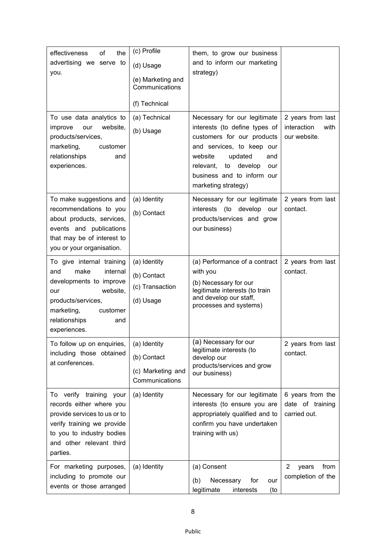| effectiveness<br>of<br>the<br>advertising we serve to<br>you.                                                                                                                              | (c) Profile<br>(d) Usage<br>(e) Marketing and<br>Communications<br>(f) Technical | them, to grow our business<br>and to inform our marketing<br>strategy)                                                                                                                                                                    |                                                          |
|--------------------------------------------------------------------------------------------------------------------------------------------------------------------------------------------|----------------------------------------------------------------------------------|-------------------------------------------------------------------------------------------------------------------------------------------------------------------------------------------------------------------------------------------|----------------------------------------------------------|
| To use data analytics to<br>improve<br>website,<br>our<br>products/services,<br>marketing,<br>customer<br>relationships<br>and<br>experiences.                                             | (a) Technical<br>(b) Usage                                                       | Necessary for our legitimate<br>interests (to define types of<br>customers for our products<br>and services, to keep our<br>website<br>updated<br>and<br>relevant, to develop<br>our<br>business and to inform our<br>marketing strategy) | 2 years from last<br>interaction<br>with<br>our website. |
| To make suggestions and<br>recommendations to you<br>about products, services,<br>events and publications<br>that may be of interest to<br>you or your organisation.                       | (a) Identity<br>(b) Contact                                                      | Necessary for our legitimate<br>(to develop our<br>interests<br>products/services and grow<br>our business)                                                                                                                               | 2 years from last<br>contact.                            |
| To give internal training<br>make<br>internal<br>and<br>developments to improve<br>website,<br>our<br>products/services,<br>marketing,<br>customer<br>relationships<br>and<br>experiences. | (a) Identity<br>(b) Contact<br>(c) Transaction<br>(d) Usage                      | (a) Performance of a contract<br>with you<br>(b) Necessary for our<br>legitimate interests (to train<br>and develop our staff,<br>processes and systems)                                                                                  | 2 years from last<br>contact.                            |
| To follow up on enquiries,<br>including those obtained<br>at conferences.                                                                                                                  | (a) Identity<br>(b) Contact<br>(c) Marketing and<br>Communications               | (a) Necessary for our<br>legitimate interests (to<br>develop our<br>products/services and grow<br>our business)                                                                                                                           | 2 years from last<br>contact.                            |
| To verify training your<br>records either where you<br>provide services to us or to<br>verify training we provide<br>to you to industry bodies<br>and other relevant third<br>parties.     | (a) Identity                                                                     | Necessary for our legitimate<br>interests (to ensure you are<br>appropriately qualified and to<br>confirm you have undertaken<br>training with us)                                                                                        | 6 years from the<br>date of training<br>carried out.     |
| For marketing purposes,<br>including to promote our<br>events or those arranged                                                                                                            | (a) Identity                                                                     | (a) Consent<br>Necessary<br>for<br>(b)<br>our<br>legitimate<br>interests<br>(to                                                                                                                                                           | $\overline{2}$<br>from<br>years<br>completion of the     |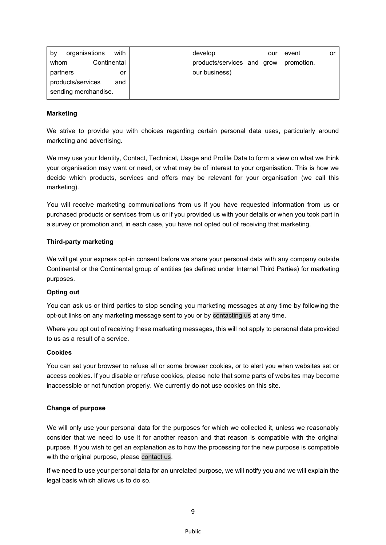| organisations<br>with<br>bv | develop<br>our             | event<br>or |
|-----------------------------|----------------------------|-------------|
| Continental<br>whom         | products/services and grow | promotion.  |
| partners<br>or              | our business)              |             |
| products/services<br>and    |                            |             |
| sending merchandise.        |                            |             |

### **Marketing**

We strive to provide you with choices regarding certain personal data uses, particularly around marketing and advertising.

We may use your Identity, Contact, Technical, Usage and Profile Data to form a view on what we think your organisation may want or need, or what may be of interest to your organisation. This is how we decide which products, services and offers may be relevant for your organisation (we call this marketing).

You will receive marketing communications from us if you have requested information from us or purchased products or services from us or if you provided us with your details or when you took part in a survey or promotion and, in each case, you have not opted out of receiving that marketing.

### **Third-party marketing**

We will get your express opt-in consent before we share your personal data with any company outside Continental or the Continental group of entities (as defined under Internal Third Parties) for marketing purposes.

#### **Opting out**

You can ask us or third parties to stop sending you marketing messages at any time by following the opt-out links on any marketing message sent to you or by [contacting us](#page-1-0) at any time.

Where you opt out of receiving these marketing messages, this will not apply to personal data provided to us as a result of a service.

#### **Cookies**

You can set your browser to refuse all or some browser cookies, or to alert you when websites set or access cookies. If you disable or refuse cookies, please note that some parts of websites may become inaccessible or not function properly. We currently do not use cookies on this site.

## **Change of purpose**

We will only use your personal data for the purposes for which we collected it, unless we reasonably consider that we need to use it for another reason and that reason is compatible with the original purpose. If you wish to get an explanation as to how the processing for the new purpose is compatible with the original purpose, please [contact us.](#page-1-0)

If we need to use your personal data for an unrelated purpose, we will notify you and we will explain the legal basis which allows us to do so.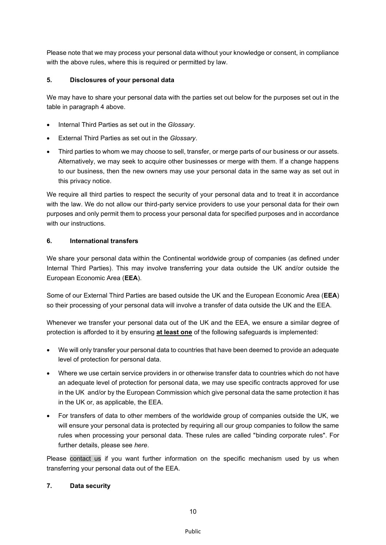Please note that we may process your personal data without your knowledge or consent, in compliance with the above rules, where this is required or permitted by law.

# **5. Disclosures of your personal data**

We may have to share your personal data with the parties set out below for the purposes set out in the table in paragraph 4 above.

- Internal Third Parties as set out in the *Glossary*.
- External Third Parties as set out in the *Glossary*.
- Third parties to whom we may choose to sell, transfer, or merge parts of our business or our assets. Alternatively, we may seek to acquire other businesses or merge with them. If a change happens to our business, then the new owners may use your personal data in the same way as set out in this privacy notice.

We require all third parties to respect the security of your personal data and to treat it in accordance with the law. We do not allow our third-party service providers to use your personal data for their own purposes and only permit them to process your personal data for specified purposes and in accordance with our instructions.

## **6. International transfers**

We share your personal data within the Continental worldwide group of companies (as defined under Internal Third Parties). This may involve transferring your data outside the UK and/or outside the European Economic Area (**EEA**).

Some of our External Third Parties are based outside the UK and the European Economic Area (**EEA**) so their processing of your personal data will involve a transfer of data outside the UK and the EEA.

Whenever we transfer your personal data out of the UK and the EEA, we ensure a similar degree of protection is afforded to it by ensuring **at least one** of the following safeguards is implemented:

- We will only transfer your personal data to countries that have been deemed to provide an adequate level of protection for personal data.
- Where we use certain service providers in or otherwise transfer data to countries which do not have an adequate level of protection for personal data, we may use specific contracts approved for use in the UK and/or by the European Commission which give personal data the same protection it has in the UK or, as applicable, the EEA.
- For transfers of data to other members of the worldwide group of companies outside the UK, we will ensure your personal data is protected by requiring all our group companies to follow the same rules when processing your personal data. These rules are called "binding corporate rules". For further details, please see *here*.

Please [contact us](#page-1-0) if you want further information on the specific mechanism used by us when transferring your personal data out of the EEA.

## **7. Data security**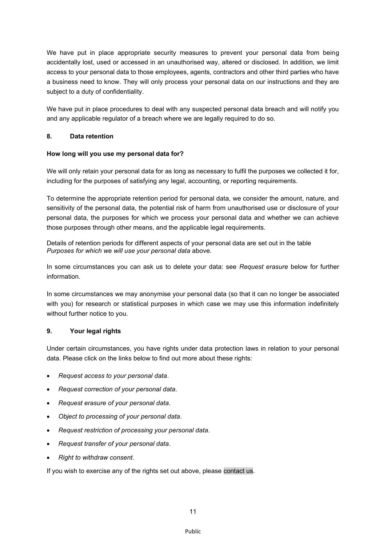We have put in place appropriate security measures to prevent your personal data from being accidentally lost, used or accessed in an unauthorised way, altered or disclosed. In addition, we limit access to your personal data to those employees, agents, contractors and other third parties who have a business need to know. They will only process your personal data on our instructions and they are subject to a duty of confidentiality.

We have put in place procedures to deal with any suspected personal data breach and will notify you and any applicable regulator of a breach where we are legally required to do so.

### **8. Data retention**

### **How long will you use my personal data for?**

We will only retain your personal data for as long as necessary to fulfil the purposes we collected it for, including for the purposes of satisfying any legal, accounting, or reporting requirements.

To determine the appropriate retention period for personal data, we consider the amount, nature, and sensitivity of the personal data, the potential risk of harm from unauthorised use or disclosure of your personal data, the purposes for which we process your personal data and whether we can achieve those purposes through other means, and the applicable legal requirements.

Details of retention periods for different aspects of your personal data are set out in the table *Purposes for which we will use your personal data* above.

In some circumstances you can ask us to delete your data: see *Request erasure* below for further information.

In some circumstances we may anonymise your personal data (so that it can no longer be associated with you) for research or statistical purposes in which case we may use this information indefinitely without further notice to you.

## **9. Your legal rights**

Under certain circumstances, you have rights under data protection laws in relation to your personal data. Please click on the links below to find out more about these rights:

- *Request access to your personal data*.
- *Request correction of your personal data*.
- *Request erasure of your personal data*.
- *Object to processing of your personal data*.
- *Request restriction of processing your personal data*.
- *Request transfer of your personal data*.
- *Right to withdraw consent*.

If you wish to exercise any of the rights set out above, please [contact us.](#page-1-0)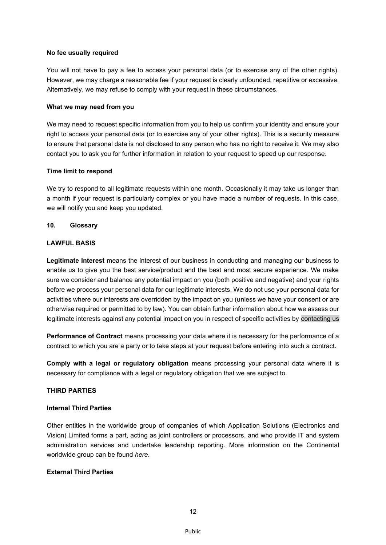### **No fee usually required**

You will not have to pay a fee to access your personal data (or to exercise any of the other rights). However, we may charge a reasonable fee if your request is clearly unfounded, repetitive or excessive. Alternatively, we may refuse to comply with your request in these circumstances.

#### **What we may need from you**

We may need to request specific information from you to help us confirm your identity and ensure your right to access your personal data (or to exercise any of your other rights). This is a security measure to ensure that personal data is not disclosed to any person who has no right to receive it. We may also contact you to ask you for further information in relation to your request to speed up our response.

### **Time limit to respond**

We try to respond to all legitimate requests within one month. Occasionally it may take us longer than a month if your request is particularly complex or you have made a number of requests. In this case, we will notify you and keep you updated.

### **10. Glossary**

### <span id="page-11-0"></span>**LAWFUL BASIS**

**Legitimate Interest** means the interest of our business in conducting and managing our business to enable us to give you the best service/product and the best and most secure experience. We make sure we consider and balance any potential impact on you (both positive and negative) and your rights before we process your personal data for our legitimate interests. We do not use your personal data for activities where our interests are overridden by the impact on you (unless we have your consent or are otherwise required or permitted to by law). You can obtain further information about how we assess our legitimate interests against any potential impact on you in respect of specific activities by [contacting us](#page-1-0)

**Performance of Contract** means processing your data where it is necessary for the performance of a contract to which you are a party or to take steps at your request before entering into such a contract.

**Comply with a legal or regulatory obligation** means processing your personal data where it is necessary for compliance with a legal or regulatory obligation that we are subject to.

#### **THIRD PARTIES**

### **Internal Third Parties**

Other entities in the worldwide group of companies of which Application Solutions (Electronics and Vision) Limited forms a part, acting as joint controllers or processors, and who provide IT and system administration services and undertake leadership reporting. More information on the Continental worldwide group can be found *here*.

## **External Third Parties**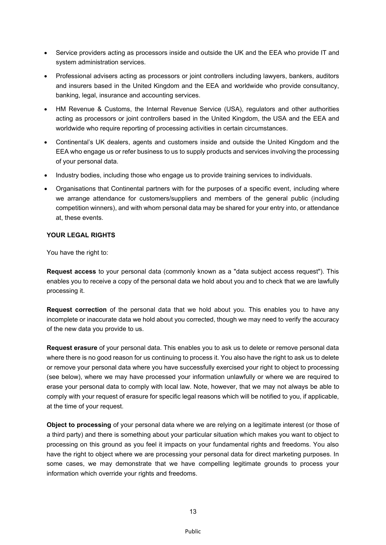- Service providers acting as processors inside and outside the UK and the EEA who provide IT and system administration services.
- Professional advisers acting as processors or joint controllers including lawyers, bankers, auditors and insurers based in the United Kingdom and the EEA and worldwide who provide consultancy, banking, legal, insurance and accounting services.
- HM Revenue & Customs, the Internal Revenue Service (USA), regulators and other authorities acting as processors or joint controllers based in the United Kingdom, the USA and the EEA and worldwide who require reporting of processing activities in certain circumstances.
- Continental's UK dealers, agents and customers inside and outside the United Kingdom and the EEA who engage us or refer business to us to supply products and services involving the processing of your personal data.
- Industry bodies, including those who engage us to provide training services to individuals.
- Organisations that Continental partners with for the purposes of a specific event, including where we arrange attendance for customers/suppliers and members of the general public (including competition winners), and with whom personal data may be shared for your entry into, or attendance at, these events.

### **YOUR LEGAL RIGHTS**

You have the right to:

**Request access** to your personal data (commonly known as a "data subject access request"). This enables you to receive a copy of the personal data we hold about you and to check that we are lawfully processing it.

**Request correction** of the personal data that we hold about you. This enables you to have any incomplete or inaccurate data we hold about you corrected, though we may need to verify the accuracy of the new data you provide to us.

**Request erasure** of your personal data. This enables you to ask us to delete or remove personal data where there is no good reason for us continuing to process it. You also have the right to ask us to delete or remove your personal data where you have successfully exercised your right to object to processing (see below), where we may have processed your information unlawfully or where we are required to erase your personal data to comply with local law. Note, however, that we may not always be able to comply with your request of erasure for specific legal reasons which will be notified to you, if applicable, at the time of your request.

**Object to processing** of your personal data where we are relying on a legitimate interest (or those of a third party) and there is something about your particular situation which makes you want to object to processing on this ground as you feel it impacts on your fundamental rights and freedoms. You also have the right to object where we are processing your personal data for direct marketing purposes. In some cases, we may demonstrate that we have compelling legitimate grounds to process your information which override your rights and freedoms.